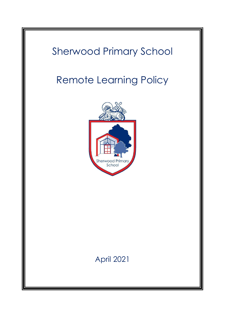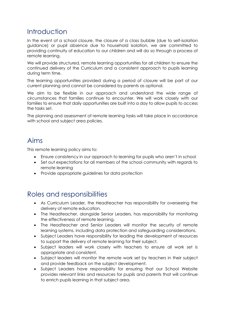## Introduction

In the event of a school closure, the closure of a class bubble (due to self-isolation guidance) or pupil absence due to household isolation, we are committed to providing continuity of education to our children and will do so through a process of remote learning.

We will provide structured, remote learning opportunities for all children to ensure the continued delivery of the Curriculum and a consistent approach to pupils learning during term time.

The learning opportunities provided during a period of closure will be part of our current planning and cannot be considered by parents as optional.

We aim to be flexible in our approach and understand the wide range of circumstances that families continue to encounter. We will work closely with our families to ensure that daily opportunities are built into a day to allow pupils to access the tasks set.

The planning and assessment of remote learning tasks will take place in accordance with school and subject area policies.

#### Aims

This remote learning policy aims to:

- Ensure consistency in our approach to learning for pupils who aren't in school
- Set out expectations for all members of the school community with regards to remote learning
- Provide appropriate guidelines for data protection

### Roles and responsibilities

- As Curriculum Leader, the Headteacher has responsibility for overseeing the delivery of remote education.
- The Headteacher, alongside Senior Leaders, has responsibility for monitoring the effectiveness of remote learning.
- The Headteacher and Senior Leaders will monitor the security of remote learning systems, including data protection and safeguarding considerations.
- Subject Leaders have responsibility for leading the development of resources to support the delivery of remote learning for their subject.
- Subject leaders will work closely with teachers to ensure all work set is appropriate and consistent.
- Subject leaders will monitor the remote work set by teachers in their subject and provide feedback on the subject development.
- Subject Leaders have responsibility for ensuring that our School Website provides relevant links and resources for pupils and parents that will continue to enrich pupils learning in that subject area.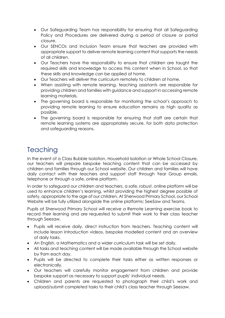- Our Safeguarding Team has responsibility for ensuring that all Safeguarding Policy and Procedures are delivered during a period of closure or partial closure.
- Our SENCOs and Inclusion Team ensure that teachers are provided with appropriate support to deliver remote learning content that supports the needs of all children.
- Our Teachers have the responsibility to ensure that children are taught the required skills and knowledge to access this content when in School, so that these skills and knowledge can be applied at home.
- Our Teachers will deliver the curriculum remotely to children at home.
- When assisting with remote learning, teaching assistants are responsible for providing children and families with guidance and support in accessing remote learning materials.
- The governing board is responsible for monitoring the school's approach to providing remote learning to ensure education remains as high quality as possible.
- The governing board is responsible for ensuring that staff are certain that remote learning systems are appropriately secure, for both data protection and safeguarding reasons.

## **Teaching**

In the event of a Class Bubble Isolation, Household Isolation or Whole School Closure, our teachers will prepare bespoke teaching content that can be accessed by children and families through our School website. Our children and families will have daily contact with their teachers and support staff through Year Group emails, telephone or through a safe, online platform.

In order to safeguard our children and teachers, a safe, robust, online platform will be used to enhance children's learning, whilst providing the highest degree possible of safety, appropriate to the age of our children. At Sherwood Primary School, our School Website will be fully utilized alongside the online platforms: SeeSaw and Teams.

Pupils at Sherwood Primary School will receive a Remote Learning exercise book to record their learning and are requested to submit their work to their class teacher through Seesaw.

- Pupils will receive daily, direct instruction from teachers. Teaching content will include lesson introduction videos, bespoke modelled content and an overview of daily tasks.
- An English, a Mathematics and a wider curriculum task will be set daily.
- All tasks and teaching content will be made available through the School website by 9am each day.
- Pupils will be directed to complete their tasks either as written responses or electronically.
- Our teachers will carefully monitor engagement from children and provide bespoke support as necessary to support pupils' individual needs.
- Children and parents are requested to photograph their child's work and upload/submit completed tasks to their child's class teacher through Seesaw.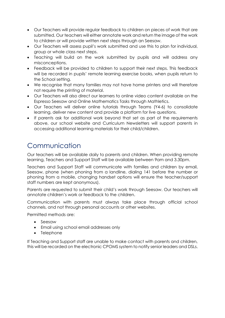- Our Teachers will provide regular feedback to children on pieces of work that are submitted. Our teachers will either annotate work and return the image of the work to children or will provide written next steps through an Seesaw.
- Our Teachers will assess pupil's work submitted and use this to plan for individual, group or whole class next steps.
- Teaching will build on the work submitted by pupils and will address any misconceptions.
- Feedback will be provided to children to support their next steps. This feedback will be recorded in pupils' remote learning exercise books, when pupils return to the School setting.
- We recognise that many families may not have home printers and will therefore not require the printing of material.
- Our Teachers will also direct our learners to online video content available on the Espresso Seesaw and Online Mathematics Tasks through Mathletics.
- Our Teachers will deliver online tutorials through Teams (Y4-6) to consolidate learning, deliver new content and provide a platform for live questions.
- If parents ask for additional work beyond that set as part of the requirements above, our school website and Curriculum Newsletters will support parents in accessing additional learning materials for their child/children.

# Communication

Our teachers will be available daily to parents and children. When providing remote learning, Teachers and Support Staff will be available between 9am and 3.30pm.

Teachers and Support Staff will communicate with families and children by email, Seesaw, phone (when phoning from a landline, dialing 141 before the number or phoning from a mobile, changing handset options will ensure the teacher/support staff numbers are kept anonymous).

Parents are requested to submit their child's work through Seesaw. Our teachers will annotate children's work or feedback to the children.

Communication with parents must always take place through official school channels, and not through personal accounts or other websites.

Permitted methods are:

- Seesaw
- Email using school email addresses only
- Telephone

If Teaching and Support staff are unable to make contact with parents and children, this will be recorded on the electronic CPOMS system to notify senior leaders and DSLs.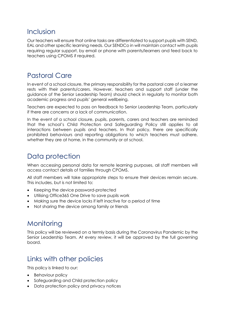#### Inclusion

Our teachers will ensure that online tasks are differentiated to support pupils with SEND, EAL and other specific learning needs. Our SENDCo in will maintain contact with pupils requiring regular support, by email or phone with parents/learners and feed back to teachers using CPOMS if required.

### Pastoral Care

In event of a school closure, the primary responsibility for the pastoral care of a learner rests with their parents/carers. However, teachers and support staff (under the guidance of the Senior Leadership Team) should check in regularly to monitor both academic progress and pupils' general wellbeing.

Teachers are expected to pass on feedback to Senior Leadership Team, particularly if there are concerns or a lack of communication.

In the event of a school closure, pupils, parents, carers and teachers are reminded that the school's Child Protection and Safeguarding Policy still applies to all interactions between pupils and teachers. In that policy, there are specifically prohibited behaviours and reporting obligations to which teachers must adhere, whether they are at home, in the community or at school.

### Data protection

When accessing personal data for remote learning purposes, all staff members will access contact details of families through CPOMS.

All staff members will take appropriate steps to ensure their devices remain secure. This includes, but is not limited to:

- Keeping the device password-protected
- Utilising Office365 One Drive to save pupils work
- Making sure the device locks if left inactive for a period of time
- Not sharing the device among family or friends

# **Monitoring**

This policy will be reviewed on a termly basis during the Coronavirus Pandemic by the Senior Leadership Team. At every review, it will be approved by the full governing board.

## Links with other policies

This policy is linked to our:

- Behaviour policy
- Safeguarding and Child protection policy
- Data protection policy and privacy notices